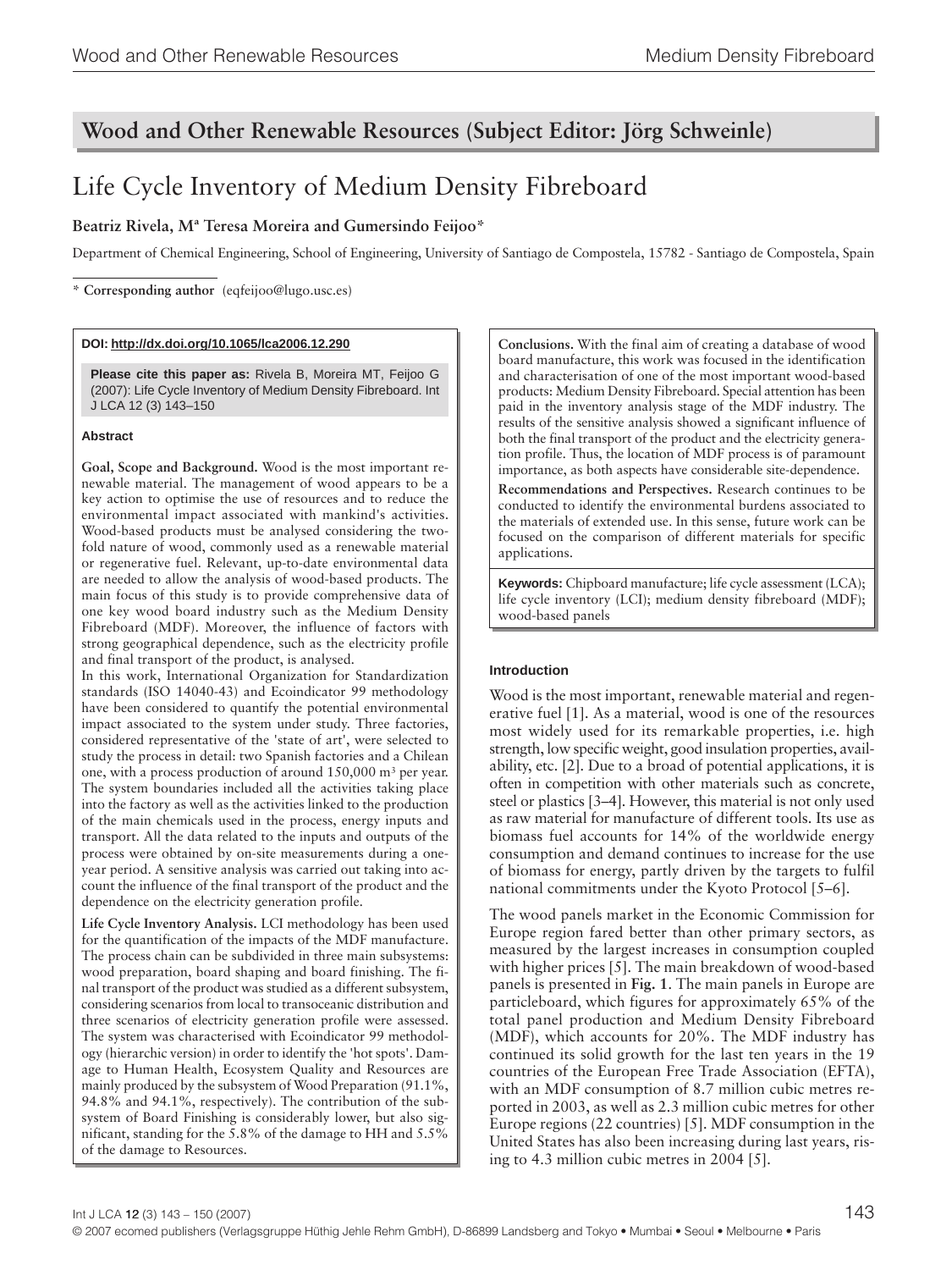# **Wood and Other Renewable Resources (Subject Editor: Jörg Schweinle)**

# Life Cycle Inventory of Medium Density Fibreboard

# **Beatriz Rivela, Mª Teresa Moreira and Gumersindo Feijoo\***

Department of Chemical Engineering, School of Engineering, University of Santiago de Compostela, 15782 - Santiago de Compostela, Spain

**\* Corresponding author** (eqfeijoo@lugo.usc.es)

## **DOI: http://dx.doi.org/10.1065/lca2006.12.290**

**Please cite this paper as:** Rivela B, Moreira MT, Feijoo G (2007): Life Cycle Inventory of Medium Density Fibreboard. Int J LCA 12 (3) 143–150

## **Abstract**

**Goal, Scope and Background.** Wood is the most important renewable material. The management of wood appears to be a key action to optimise the use of resources and to reduce the environmental impact associated with mankind's activities. Wood-based products must be analysed considering the twofold nature of wood, commonly used as a renewable material or regenerative fuel. Relevant, up-to-date environmental data are needed to allow the analysis of wood-based products. The main focus of this study is to provide comprehensive data of one key wood board industry such as the Medium Density Fibreboard (MDF). Moreover, the influence of factors with strong geographical dependence, such as the electricity profile and final transport of the product, is analysed.

In this work, International Organization for Standardization standards (ISO 14040-43) and Ecoindicator 99 methodology have been considered to quantify the potential environmental impact associated to the system under study. Three factories, considered representative of the 'state of art', were selected to study the process in detail: two Spanish factories and a Chilean one, with a process production of around 150,000 m3 per year. The system boundaries included all the activities taking place into the factory as well as the activities linked to the production of the main chemicals used in the process, energy inputs and transport. All the data related to the inputs and outputs of the process were obtained by on-site measurements during a oneyear period. A sensitive analysis was carried out taking into account the influence of the final transport of the product and the dependence on the electricity generation profile.

**Life Cycle Inventory Analysis.** LCI methodology has been used for the quantification of the impacts of the MDF manufacture. The process chain can be subdivided in three main subsystems: wood preparation, board shaping and board finishing. The final transport of the product was studied as a different subsystem, considering scenarios from local to transoceanic distribution and three scenarios of electricity generation profile were assessed. The system was characterised with Ecoindicator 99 methodology (hierarchic version) in order to identify the 'hot spots'. Damage to Human Health, Ecosystem Quality and Resources are mainly produced by the subsystem of Wood Preparation (91.1%, 94.8% and 94.1%, respectively). The contribution of the subsystem of Board Finishing is considerably lower, but also significant, standing for the 5.8% of the damage to HH and 5.5% of the damage to Resources.

**Conclusions.** With the final aim of creating a database of wood board manufacture, this work was focused in the identification and characterisation of one of the most important wood-based products: Medium Density Fibreboard. Special attention has been paid in the inventory analysis stage of the MDF industry. The results of the sensitive analysis showed a significant influence of both the final transport of the product and the electricity generation profile. Thus, the location of MDF process is of paramount importance, as both aspects have considerable site-dependence.

**Recommendations and Perspectives.** Research continues to be conducted to identify the environmental burdens associated to the materials of extended use. In this sense, future work can be focused on the comparison of different materials for specific applications.

**Keywords:** Chipboard manufacture; life cycle assessment (LCA); life cycle inventory (LCI); medium density fibreboard (MDF); wood-based panels

## **Introduction**

Wood is the most important, renewable material and regenerative fuel [1]. As a material, wood is one of the resources most widely used for its remarkable properties, i.e. high strength, low specific weight, good insulation properties, availability, etc. [2]. Due to a broad of potential applications, it is often in competition with other materials such as concrete, steel or plastics [3–4]. However, this material is not only used as raw material for manufacture of different tools. Its use as biomass fuel accounts for 14% of the worldwide energy consumption and demand continues to increase for the use of biomass for energy, partly driven by the targets to fulfil national commitments under the Kyoto Protocol [5–6].

The wood panels market in the Economic Commission for Europe region fared better than other primary sectors, as measured by the largest increases in consumption coupled with higher prices [5]. The main breakdown of wood-based panels is presented in **Fig. 1**. The main panels in Europe are particleboard, which figures for approximately 65% of the total panel production and Medium Density Fibreboard (MDF), which accounts for 20%. The MDF industry has continued its solid growth for the last ten years in the 19 countries of the European Free Trade Association (EFTA), with an MDF consumption of 8.7 million cubic metres reported in 2003, as well as 2.3 million cubic metres for other Europe regions (22 countries) [5]. MDF consumption in the United States has also been increasing during last years, rising to 4.3 million cubic metres in 2004 [5].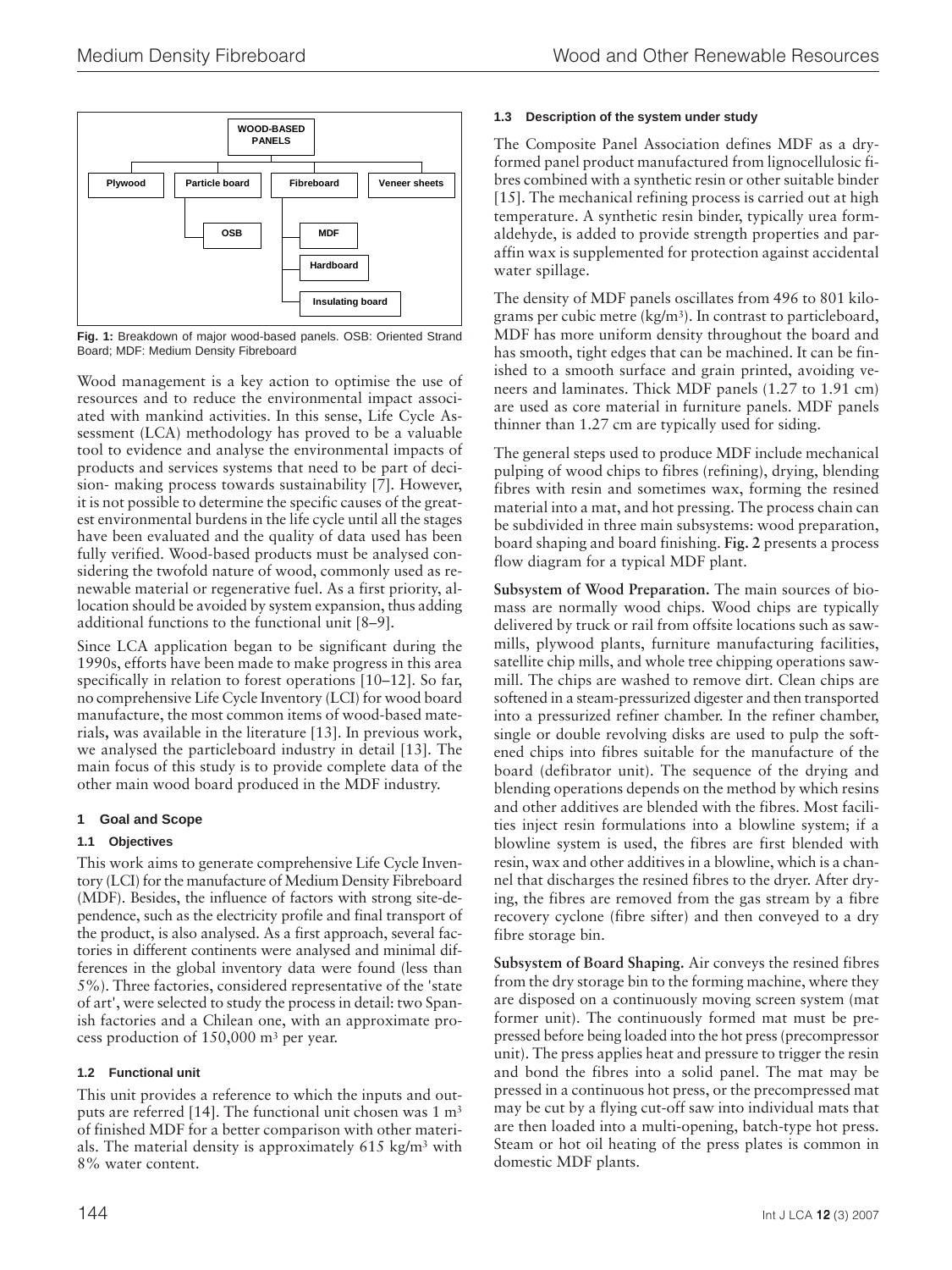

**Fig. 1:** Breakdown of major wood-based panels. OSB: Oriented Strand Board; MDF: Medium Density Fibreboard

Wood management is a key action to optimise the use of resources and to reduce the environmental impact associated with mankind activities. In this sense, Life Cycle Assessment (LCA) methodology has proved to be a valuable tool to evidence and analyse the environmental impacts of products and services systems that need to be part of decision- making process towards sustainability [7]. However, it is not possible to determine the specific causes of the greatest environmental burdens in the life cycle until all the stages have been evaluated and the quality of data used has been fully verified. Wood-based products must be analysed considering the twofold nature of wood, commonly used as renewable material or regenerative fuel. As a first priority, allocation should be avoided by system expansion, thus adding additional functions to the functional unit [8–9].

Since LCA application began to be significant during the 1990s, efforts have been made to make progress in this area specifically in relation to forest operations [10–12]. So far, no comprehensive Life Cycle Inventory (LCI) for wood board manufacture, the most common items of wood-based materials**,** was available in the literature [13]. In previous work, we analysed the particleboard industry in detail [13]. The main focus of this study is to provide complete data of the other main wood board produced in the MDF industry.

# **1 Goal and Scope**

# **1.1 Objectives**

This work aims to generate comprehensive Life Cycle Inventory (LCI) for the manufacture of Medium Density Fibreboard (MDF). Besides, the influence of factors with strong site-dependence, such as the electricity profile and final transport of the product, is also analysed. As a first approach, several factories in different continents were analysed and minimal differences in the global inventory data were found (less than 5%). Three factories, considered representative of the 'state of art', were selected to study the process in detail: two Spanish factories and a Chilean one, with an approximate process production of 150,000 m3 per year.

# **1.2 Functional unit**

This unit provides a reference to which the inputs and outputs are referred [14]. The functional unit chosen was 1 m3 of finished MDF for a better comparison with other materials. The material density is approximately 615 kg/m3 with 8% water content.

# **1.3 Description of the system under study**

The Composite Panel Association defines MDF as a dryformed panel product manufactured from lignocellulosic fibres combined with a synthetic resin or other suitable binder [15]. The mechanical refining process is carried out at high temperature. A synthetic resin binder, typically urea formaldehyde, is added to provide strength properties and paraffin wax is supplemented for protection against accidental water spillage.

The density of MDF panels oscillates from 496 to 801 kilograms per cubic metre (kg/m3). In contrast to particleboard, MDF has more uniform density throughout the board and has smooth, tight edges that can be machined. It can be finished to a smooth surface and grain printed, avoiding veneers and laminates. Thick MDF panels (1.27 to 1.91 cm) are used as core material in furniture panels. MDF panels thinner than 1.27 cm are typically used for siding.

The general steps used to produce MDF include mechanical pulping of wood chips to fibres (refining), drying, blending fibres with resin and sometimes wax, forming the resined material into a mat, and hot pressing. The process chain can be subdivided in three main subsystems: wood preparation, board shaping and board finishing. **Fig. 2** presents a process flow diagram for a typical MDF plant.

**Subsystem of Wood Preparation.** The main sources of biomass are normally wood chips. Wood chips are typically delivered by truck or rail from offsite locations such as sawmills, plywood plants, furniture manufacturing facilities, satellite chip mills, and whole tree chipping operations sawmill. The chips are washed to remove dirt. Clean chips are softened in a steam-pressurized digester and then transported into a pressurized refiner chamber. In the refiner chamber, single or double revolving disks are used to pulp the softened chips into fibres suitable for the manufacture of the board (defibrator unit). The sequence of the drying and blending operations depends on the method by which resins and other additives are blended with the fibres. Most facilities inject resin formulations into a blowline system; if a blowline system is used, the fibres are first blended with resin, wax and other additives in a blowline, which is a channel that discharges the resined fibres to the dryer. After drying, the fibres are removed from the gas stream by a fibre recovery cyclone (fibre sifter) and then conveyed to a dry fibre storage bin.

**Subsystem of Board Shaping.** Air conveys the resined fibres from the dry storage bin to the forming machine, where they are disposed on a continuously moving screen system (mat former unit). The continuously formed mat must be prepressed before being loaded into the hot press (precompressor unit). The press applies heat and pressure to trigger the resin and bond the fibres into a solid panel. The mat may be pressed in a continuous hot press, or the precompressed mat may be cut by a flying cut-off saw into individual mats that are then loaded into a multi-opening, batch-type hot press. Steam or hot oil heating of the press plates is common in domestic MDF plants.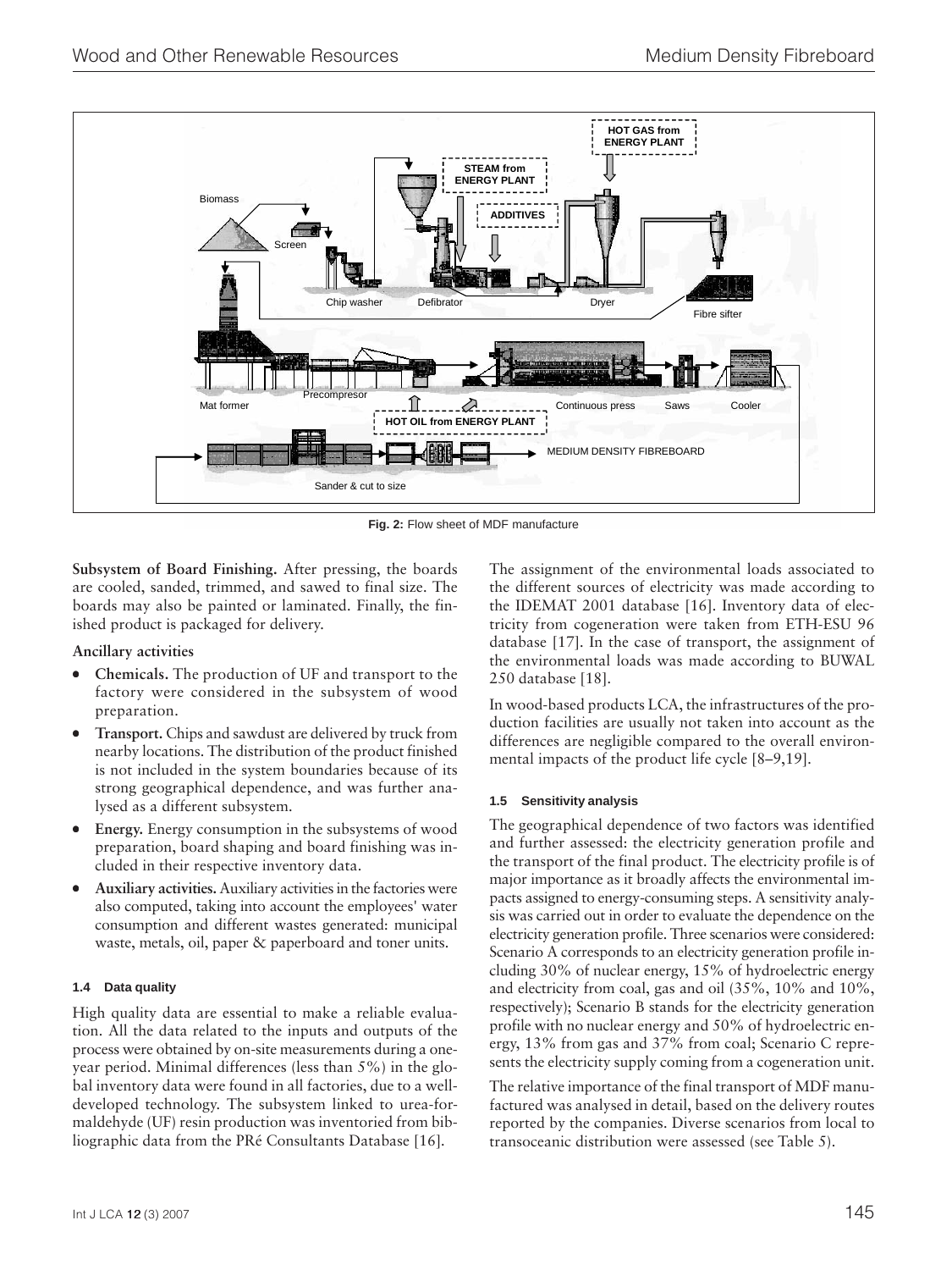

**Fig. 2:** Flow sheet of MDF manufacture

**Subsystem of Board Finishing.** After pressing, the boards are cooled, sanded, trimmed, and sawed to final size. The boards may also be painted or laminated. Finally, the finished product is packaged for delivery.

## **Ancillary activities**

- **Chemicals.** The production of UF and transport to the factory were considered in the subsystem of wood preparation.
- **Transport.** Chips and sawdust are delivered by truck from nearby locations. The distribution of the product finished is not included in the system boundaries because of its strong geographical dependence, and was further analysed as a different subsystem.
- **Energy.** Energy consumption in the subsystems of wood preparation, board shaping and board finishing was included in their respective inventory data.
- **Auxiliary activities.** Auxiliary activities in the factories were also computed, taking into account the employees' water consumption and different wastes generated: municipal waste, metals, oil, paper & paperboard and toner units.

## **1.4 Data quality**

High quality data are essential to make a reliable evaluation. All the data related to the inputs and outputs of the process were obtained by on-site measurements during a oneyear period. Minimal differences (less than 5%) in the global inventory data were found in all factories, due to a welldeveloped technology. The subsystem linked to urea-formaldehyde (UF) resin production was inventoried from bibliographic data from the PRé Consultants Database [16].

The assignment of the environmental loads associated to the different sources of electricity was made according to the IDEMAT 2001 database [16]. Inventory data of electricity from cogeneration were taken from ETH-ESU 96 database [17]. In the case of transport, the assignment of the environmental loads was made according to BUWAL 250 database [18].

In wood-based products LCA, the infrastructures of the production facilities are usually not taken into account as the differences are negligible compared to the overall environmental impacts of the product life cycle [8–9,19].

## **1.5 Sensitivity analysis**

The geographical dependence of two factors was identified and further assessed: the electricity generation profile and the transport of the final product. The electricity profile is of major importance as it broadly affects the environmental impacts assigned to energy-consuming steps. A sensitivity analysis was carried out in order to evaluate the dependence on the electricity generation profile. Three scenarios were considered: Scenario A corresponds to an electricity generation profile including 30% of nuclear energy, 15% of hydroelectric energy and electricity from coal, gas and oil (35%, 10% and 10%, respectively); Scenario B stands for the electricity generation profile with no nuclear energy and 50% of hydroelectric energy, 13% from gas and 37% from coal; Scenario C represents the electricity supply coming from a cogeneration unit.

The relative importance of the final transport of MDF manufactured was analysed in detail, based on the delivery routes reported by the companies. Diverse scenarios from local to transoceanic distribution were assessed (see Table 5).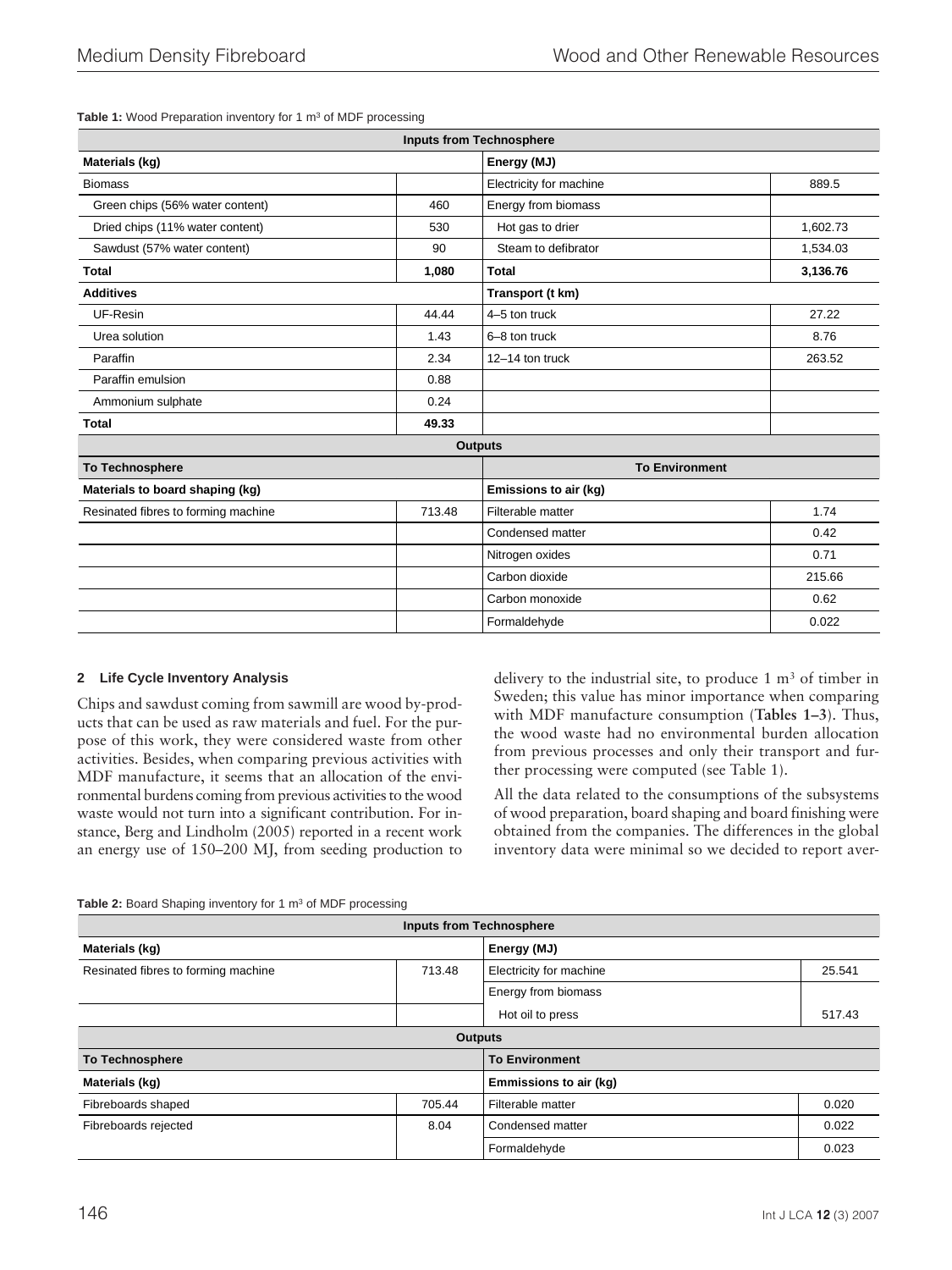Table 1: Wood Preparation inventory for 1 m<sup>3</sup> of MDF processing

| <b>Inputs from Technosphere</b>     |                |                         |          |
|-------------------------------------|----------------|-------------------------|----------|
| Materials (kg)                      |                | Energy (MJ)             |          |
| <b>Biomass</b>                      |                | Electricity for machine | 889.5    |
| Green chips (56% water content)     | 460            | Energy from biomass     |          |
| Dried chips (11% water content)     | 530            | Hot gas to drier        | 1,602.73 |
| Sawdust (57% water content)         | 90             | Steam to defibrator     | 1,534.03 |
| <b>Total</b>                        | 1,080          | <b>Total</b>            | 3,136.76 |
| <b>Additives</b>                    |                | Transport (t km)        |          |
| UF-Resin                            | 44.44          | 4-5 ton truck           | 27.22    |
| Urea solution                       | 1.43           | 6-8 ton truck           | 8.76     |
| Paraffin                            | 2.34           | 12-14 ton truck         | 263.52   |
| Paraffin emulsion                   | 0.88           |                         |          |
| Ammonium sulphate                   | 0.24           |                         |          |
| <b>Total</b>                        | 49.33          |                         |          |
|                                     | <b>Outputs</b> |                         |          |
| <b>To Technosphere</b>              |                | <b>To Environment</b>   |          |
| Materials to board shaping (kg)     |                | Emissions to air (kg)   |          |
| Resinated fibres to forming machine | 713.48         | Filterable matter       | 1.74     |
|                                     |                | Condensed matter        | 0.42     |
|                                     |                | Nitrogen oxides         | 0.71     |
|                                     |                | Carbon dioxide          | 215.66   |
|                                     |                | Carbon monoxide         | 0.62     |
|                                     |                | Formaldehyde            | 0.022    |

## **2 Life Cycle Inventory Analysis**

Chips and sawdust coming from sawmill are wood by-products that can be used as raw materials and fuel. For the purpose of this work, they were considered waste from other activities. Besides, when comparing previous activities with MDF manufacture, it seems that an allocation of the environmental burdens coming from previous activities to the wood waste would not turn into a significant contribution. For instance, Berg and Lindholm (2005) reported in a recent work an energy use of 150–200 MJ, from seeding production to delivery to the industrial site, to produce 1 m3 of timber in Sweden; this value has minor importance when comparing with MDF manufacture consumption (**Tables 1–3**). Thus, the wood waste had no environmental burden allocation from previous processes and only their transport and further processing were computed (see Table 1).

All the data related to the consumptions of the subsystems of wood preparation, board shaping and board finishing were obtained from the companies. The differences in the global inventory data were minimal so we decided to report aver-

| Table 2: Board Shaping inventory for 1 m <sup>3</sup> of MDF processing |  |
|-------------------------------------------------------------------------|--|

| <b>Inputs from Technosphere</b>     |        |                         |        |
|-------------------------------------|--------|-------------------------|--------|
| Materials (kg)                      |        | Energy (MJ)             |        |
| Resinated fibres to forming machine | 713.48 | Electricity for machine | 25.541 |
|                                     |        | Energy from biomass     |        |
|                                     |        | Hot oil to press        | 517.43 |
| <b>Outputs</b>                      |        |                         |        |
| <b>To Technosphere</b>              |        | <b>To Environment</b>   |        |
| Materials (kg)                      |        | Emmissions to air (kg)  |        |
| Fibreboards shaped                  | 705.44 | Filterable matter       | 0.020  |
| Fibreboards rejected                | 8.04   | Condensed matter        | 0.022  |
|                                     |        | Formaldehyde            | 0.023  |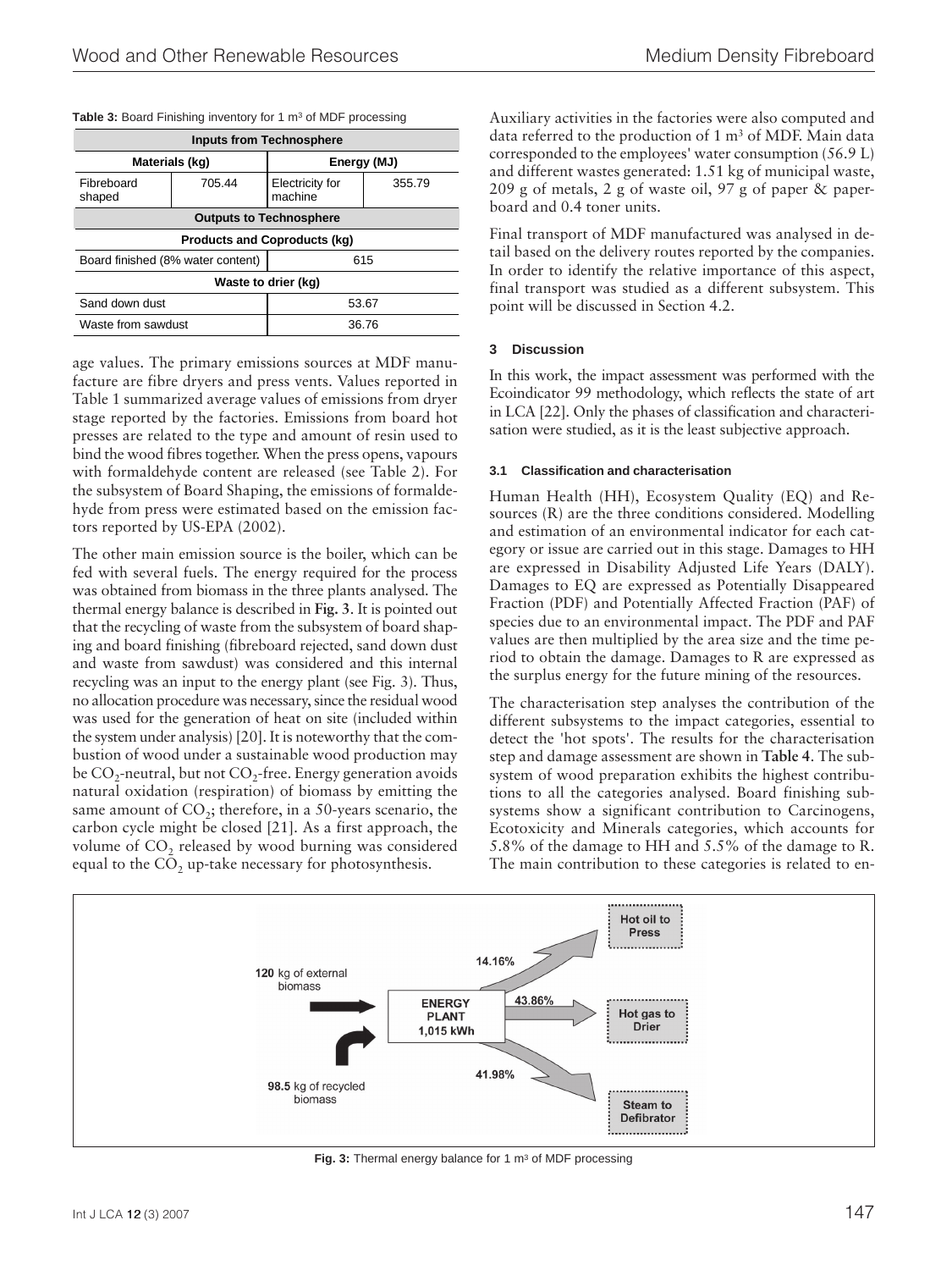#### Table 3: Board Finishing inventory for 1 m<sup>3</sup> of MDF processing

| <b>Inputs from Technosphere</b>          |        |                            |        |  |
|------------------------------------------|--------|----------------------------|--------|--|
| Materials (kg)                           |        | Energy (MJ)                |        |  |
| Fibreboard<br>shaped                     | 705.44 | Electricity for<br>machine | 355.79 |  |
| <b>Outputs to Technosphere</b>           |        |                            |        |  |
| <b>Products and Coproducts (kg)</b>      |        |                            |        |  |
| Board finished (8% water content)<br>615 |        |                            |        |  |
| Waste to drier (kg)                      |        |                            |        |  |
| Sand down dust                           |        | 53.67                      |        |  |
| Waste from sawdust                       |        | 36.76                      |        |  |

age values. The primary emissions sources at MDF manufacture are fibre dryers and press vents. Values reported in Table 1 summarized average values of emissions from dryer stage reported by the factories. Emissions from board hot presses are related to the type and amount of resin used to bind the wood fibres together. When the press opens, vapours with formaldehyde content are released (see Table 2). For the subsystem of Board Shaping, the emissions of formaldehyde from press were estimated based on the emission factors reported by US-EPA (2002).

The other main emission source is the boiler, which can be fed with several fuels. The energy required for the process was obtained from biomass in the three plants analysed. The thermal energy balance is described in **Fig. 3**. It is pointed out that the recycling of waste from the subsystem of board shaping and board finishing (fibreboard rejected, sand down dust and waste from sawdust) was considered and this internal recycling was an input to the energy plant (see Fig. 3). Thus, no allocation procedure was necessary, since the residual wood was used for the generation of heat on site (included within the system under analysis) [20]. It is noteworthy that the combustion of wood under a sustainable wood production may be  $CO_2$ -neutral, but not  $CO_2$ -free. Energy generation avoids natural oxidation (respiration) of biomass by emitting the same amount of  $CO<sub>2</sub>$ ; therefore, in a 50-years scenario, the carbon cycle might be closed [21]. As a first approach, the volume of  $CO<sub>2</sub>$  released by wood burning was considered equal to the  $CO<sub>2</sub>$  up-take necessary for photosynthesis.

Auxiliary activities in the factories were also computed and data referred to the production of 1 m3 of MDF. Main data corresponded to the employees' water consumption (56.9 L) and different wastes generated: 1.51 kg of municipal waste, 209 g of metals, 2 g of waste oil, 97 g of paper & paperboard and 0.4 toner units.

Final transport of MDF manufactured was analysed in detail based on the delivery routes reported by the companies. In order to identify the relative importance of this aspect, final transport was studied as a different subsystem. This point will be discussed in Section 4.2.

#### **3 Discussion**

In this work, the impact assessment was performed with the Ecoindicator 99 methodology, which reflects the state of art in LCA [22]. Only the phases of classification and characterisation were studied, as it is the least subjective approach.

#### **3.1 Classification and characterisation**

Human Health (HH), Ecosystem Quality (EQ) and Resources (R) are the three conditions considered. Modelling and estimation of an environmental indicator for each category or issue are carried out in this stage. Damages to HH are expressed in Disability Adjusted Life Years (DALY). Damages to EQ are expressed as Potentially Disappeared Fraction (PDF) and Potentially Affected Fraction (PAF) of species due to an environmental impact. The PDF and PAF values are then multiplied by the area size and the time period to obtain the damage. Damages to R are expressed as the surplus energy for the future mining of the resources.

The characterisation step analyses the contribution of the different subsystems to the impact categories, essential to detect the 'hot spots'. The results for the characterisation step and damage assessment are shown in **Table 4**. The subsystem of wood preparation exhibits the highest contributions to all the categories analysed. Board finishing subsystems show a significant contribution to Carcinogens, Ecotoxicity and Minerals categories, which accounts for 5.8% of the damage to HH and 5.5% of the damage to R. The main contribution to these categories is related to en-



Fig. 3: Thermal energy balance for 1 m<sup>3</sup> of MDF processing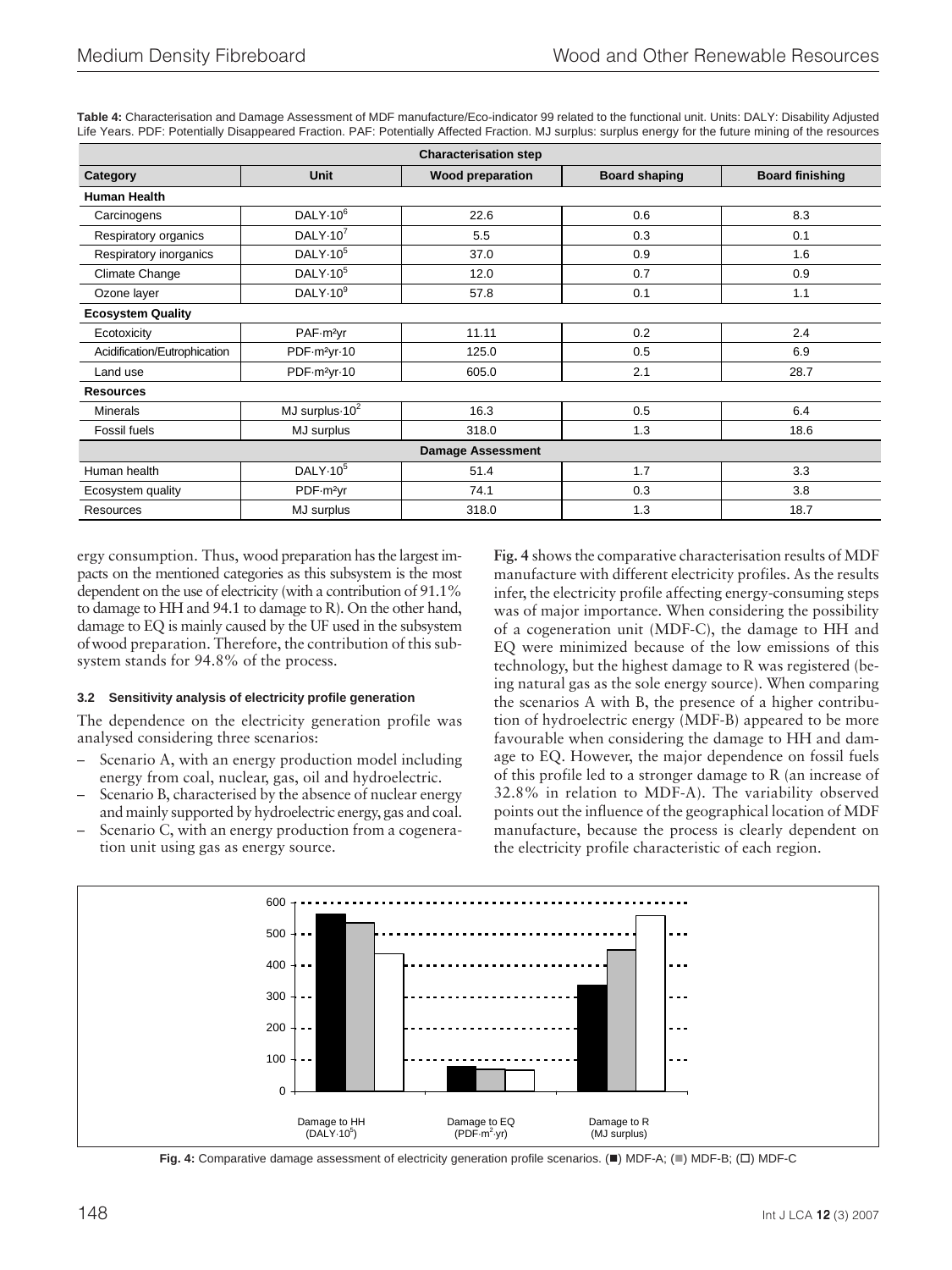| <b>Characterisation step</b> |                              |                          |                      |                        |
|------------------------------|------------------------------|--------------------------|----------------------|------------------------|
| Category                     | <b>Unit</b>                  | <b>Wood preparation</b>  | <b>Board shaping</b> | <b>Board finishing</b> |
| <b>Human Health</b>          |                              |                          |                      |                        |
| Carcinogens                  | DALY-10 <sup>6</sup>         | 22.6                     | 0.6                  | 8.3                    |
| Respiratory organics         | DALY $\cdot$ 10 <sup>7</sup> | 5.5                      | 0.3                  | 0.1                    |
| Respiratory inorganics       | DALY $\cdot$ 10 <sup>5</sup> | 37.0                     | 0.9                  | 1.6                    |
| Climate Change               | DALY $\cdot$ 10 <sup>5</sup> | 12.0                     | 0.7                  | 0.9                    |
| Ozone layer                  | DALY $\cdot$ 10 $^9$         | 57.8                     | 0.1                  | 1.1                    |
| <b>Ecosystem Quality</b>     |                              |                          |                      |                        |
| Ecotoxicity                  | PAF-m <sup>2</sup> yr        | 11.11                    | 0.2                  | 2.4                    |
| Acidification/Eutrophication | PDF-m <sup>2</sup> yr-10     | 125.0                    | 0.5                  | 6.9                    |
| Land use                     | PDF-m <sup>2</sup> yr-10     | 605.0                    | 2.1                  | 28.7                   |
| <b>Resources</b>             |                              |                          |                      |                        |
| <b>Minerals</b>              | MJ surplus $-10^2$           | 16.3                     | 0.5                  | 6.4                    |
| Fossil fuels                 | MJ surplus                   | 318.0                    | 1.3                  | 18.6                   |
|                              |                              | <b>Damage Assessment</b> |                      |                        |
| Human health                 | DALY-10 <sup>5</sup>         | 51.4                     | 1.7                  | 3.3                    |
| Ecosystem quality            | PDF-m <sup>2</sup> yr        | 74.1                     | 0.3                  | 3.8                    |
| Resources                    | MJ surplus                   | 318.0                    | 1.3                  | 18.7                   |

**Table 4:** Characterisation and Damage Assessment of MDF manufacture/Eco-indicator 99 related to the functional unit. Units: DALY: Disability Adjusted Life Years. PDF: Potentially Disappeared Fraction. PAF: Potentially Affected Fraction. MJ surplus: surplus energy for the future mining of the resources

ergy consumption. Thus, wood preparation has the largest impacts on the mentioned categories as this subsystem is the most dependent on the use of electricity (with a contribution of 91.1% to damage to HH and 94.1 to damage to R). On the other hand, damage to EQ is mainly caused by the UF used in the subsystem of wood preparation. Therefore, the contribution of this subsystem stands for 94.8% of the process.

## **3.2 Sensitivity analysis of electricity profile generation**

The dependence on the electricity generation profile was analysed considering three scenarios:

- Scenario A, with an energy production model including energy from coal, nuclear, gas, oil and hydroelectric.
- Scenario B, characterised by the absence of nuclear energy and mainly supported by hydroelectric energy, gas and coal.
- Scenario C, with an energy production from a cogeneration unit using gas as energy source.

**Fig. 4** shows the comparative characterisation results of MDF manufacture with different electricity profiles. As the results infer, the electricity profile affecting energy-consuming steps was of major importance. When considering the possibility of a cogeneration unit (MDF-C), the damage to HH and EQ were minimized because of the low emissions of this technology, but the highest damage to R was registered (being natural gas as the sole energy source). When comparing the scenarios A with B, the presence of a higher contribution of hydroelectric energy (MDF-B) appeared to be more favourable when considering the damage to HH and damage to EQ. However, the major dependence on fossil fuels of this profile led to a stronger damage to R (an increase of 32.8% in relation to MDF-A). The variability observed points out the influence of the geographical location of MDF manufacture, because the process is clearly dependent on the electricity profile characteristic of each region.



Fig. 4: Comparative damage assessment of electricity generation profile scenarios. (I) MDF-A; (I) MDF-B; (I) MDF-C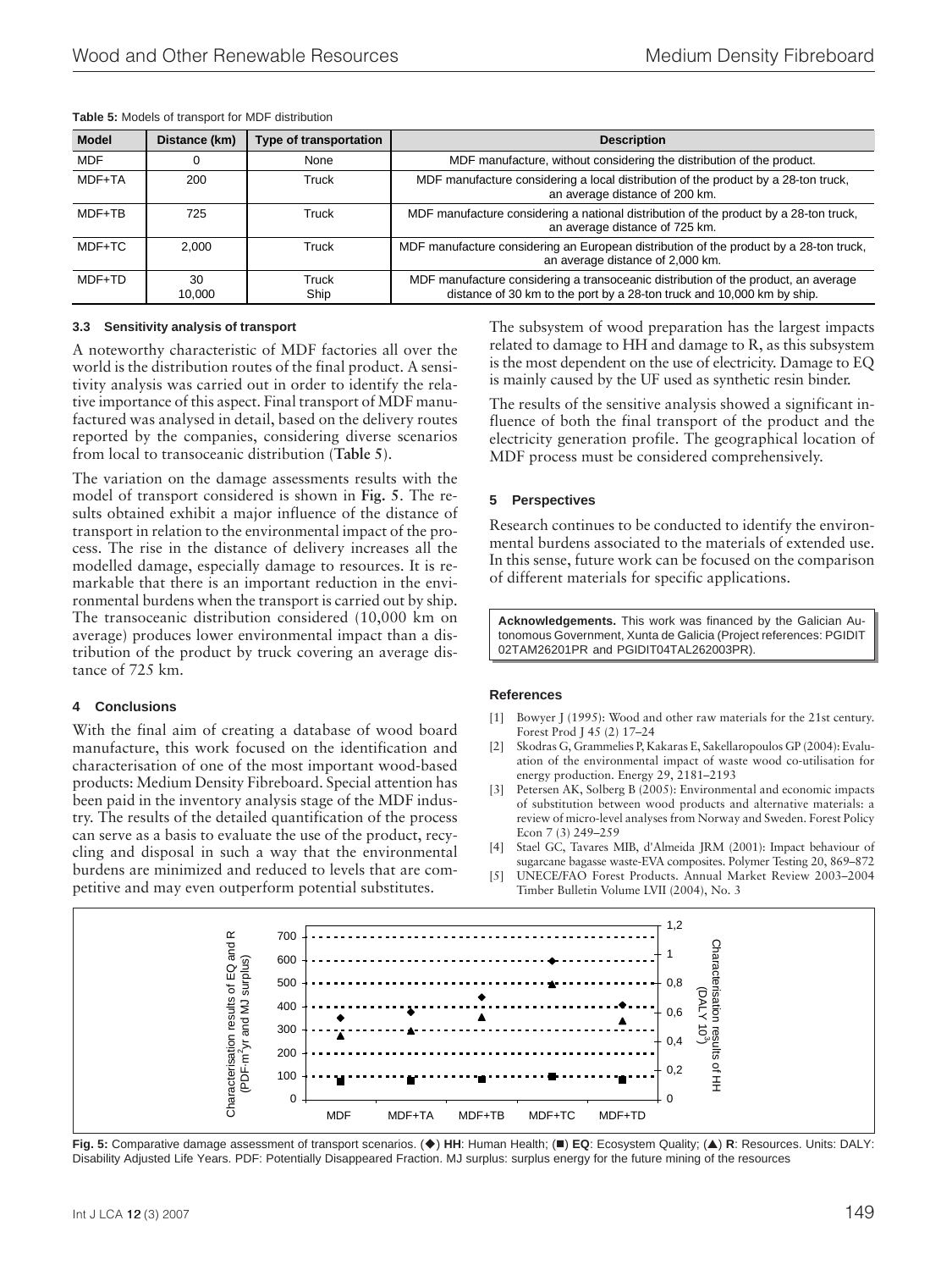| <b>Model</b> | Distance (km) | Type of transportation | <b>Description</b>                                                                                                                                           |
|--------------|---------------|------------------------|--------------------------------------------------------------------------------------------------------------------------------------------------------------|
| <b>MDF</b>   |               | None                   | MDF manufacture, without considering the distribution of the product.                                                                                        |
| MDF+TA       | 200           | Truck                  | MDF manufacture considering a local distribution of the product by a 28-ton truck,<br>an average distance of 200 km.                                         |
| MDF+TB       | 725           | Truck                  | MDF manufacture considering a national distribution of the product by a 28-ton truck,<br>an average distance of 725 km.                                      |
| MDF+TC       | 2.000         | Truck                  | MDF manufacture considering an European distribution of the product by a 28-ton truck,<br>an average distance of 2,000 km.                                   |
| MDF+TD       | 30<br>10.000  | Truck<br>Ship          | MDF manufacture considering a transoceanic distribution of the product, an average<br>distance of 30 km to the port by a 28-ton truck and 10,000 km by ship. |

**Table 5:** Models of transport for MDF distribution

#### **3.3 Sensitivity analysis of transport**

A noteworthy characteristic of MDF factories all over the world is the distribution routes of the final product. A sensitivity analysis was carried out in order to identify the relative importance of this aspect. Final transport of MDF manufactured was analysed in detail, based on the delivery routes reported by the companies, considering diverse scenarios from local to transoceanic distribution (**Table 5**).

The variation on the damage assessments results with the model of transport considered is shown in **Fig. 5**. The results obtained exhibit a major influence of the distance of transport in relation to the environmental impact of the process. The rise in the distance of delivery increases all the modelled damage, especially damage to resources. It is remarkable that there is an important reduction in the environmental burdens when the transport is carried out by ship. The transoceanic distribution considered (10,000 km on average) produces lower environmental impact than a distribution of the product by truck covering an average distance of 725 km.

#### **4 Conclusions**

With the final aim of creating a database of wood board manufacture, this work focused on the identification and characterisation of one of the most important wood-based products: Medium Density Fibreboard. Special attention has been paid in the inventory analysis stage of the MDF industry. The results of the detailed quantification of the process can serve as a basis to evaluate the use of the product, recycling and disposal in such a way that the environmental burdens are minimized and reduced to levels that are competitive and may even outperform potential substitutes.

The subsystem of wood preparation has the largest impacts related to damage to HH and damage to R, as this subsystem is the most dependent on the use of electricity. Damage to EQ is mainly caused by the UF used as synthetic resin binder.

The results of the sensitive analysis showed a significant influence of both the final transport of the product and the electricity generation profile. The geographical location of MDF process must be considered comprehensively.

## **5 Perspectives**

Research continues to be conducted to identify the environmental burdens associated to the materials of extended use. In this sense, future work can be focused on the comparison of different materials for specific applications.

**Acknowledgements.** This work was financed by the Galician Autonomous Government, Xunta de Galicia (Project references: PGIDIT 02TAM26201PR and PGIDIT04TAL262003PR).

#### **References**

- [1] Bowyer J (1995): Wood and other raw materials for the 21st century. Forest Prod J 45 (2) 17–24
- [2] Skodras G, Grammelies P, Kakaras E, Sakellaropoulos GP (2004): Evaluation of the environmental impact of waste wood co-utilisation for energy production. Energy 29, 2181–2193
- [3] Petersen AK, Solberg B (2005): Environmental and economic impacts of substitution between wood products and alternative materials: a review of micro-level analyses from Norway and Sweden. Forest Policy Econ 7 (3) 249–259
- [4] Stael GC, Tavares MIB, d'Almeida JRM (2001): Impact behaviour of sugarcane bagasse waste-EVA composites. Polymer Testing 20, 869–872
- UNECE/FAO Forest Products. Annual Market Review 2003-2004 Timber Bulletin Volume LVII (2004), No. 3



Fig. 5: Comparative damage assessment of transport scenarios. (◆) HH: Human Health; (■) EQ: Ecosystem Quality; (▲) R: Resources. Units: DALY: Disability Adjusted Life Years. PDF: Potentially Disappeared Fraction. MJ surplus: surplus energy for the future mining of the resources